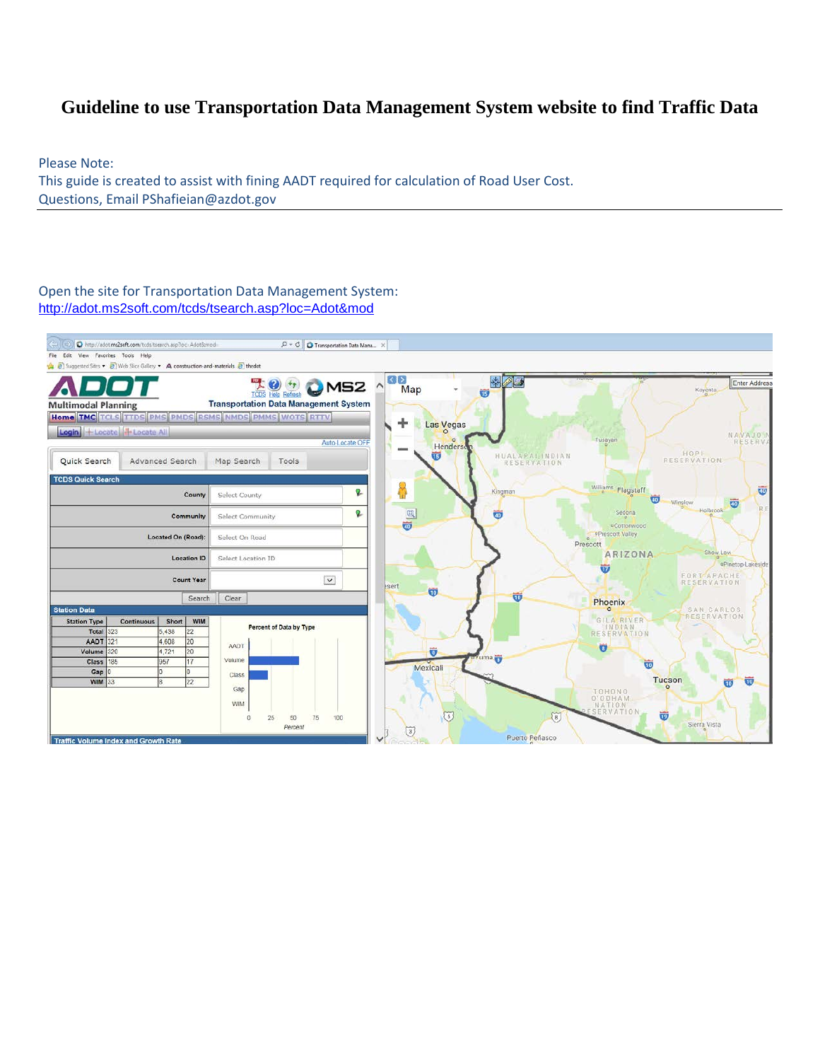## **Guideline to use Transportation Data Management System website to find Traffic Data**

Please Note: This guide is created to assist with fining AADT required for calculation of Road User Cost. Questions, Email PShafieian@azdot.gov

Open the site for Transportation Data Management System: <http://adot.ms2soft.com/tcds/tsearch.asp?loc=Adot&mod>

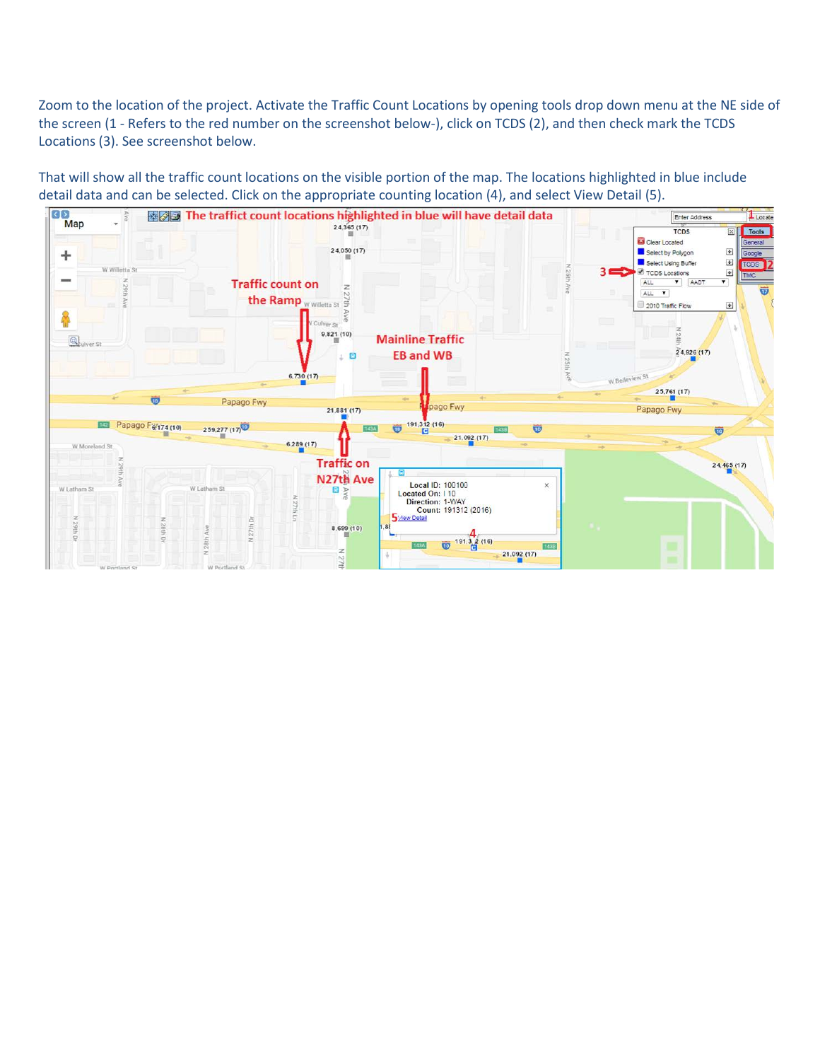Zoom to the location of the project. Activate the Traffic Count Locations by opening tools drop down menu at the NE side of the screen (1 - Refers to the red number on the screenshot below-), click on TCDS (2), and then check mark the TCDS Locations (3). See screenshot below.

That will show all the traffic count locations on the visible portion of the map. The locations highlighted in blue include detail data and can be selected. Click on the appropriate counting location (4), and select View Detail (5).

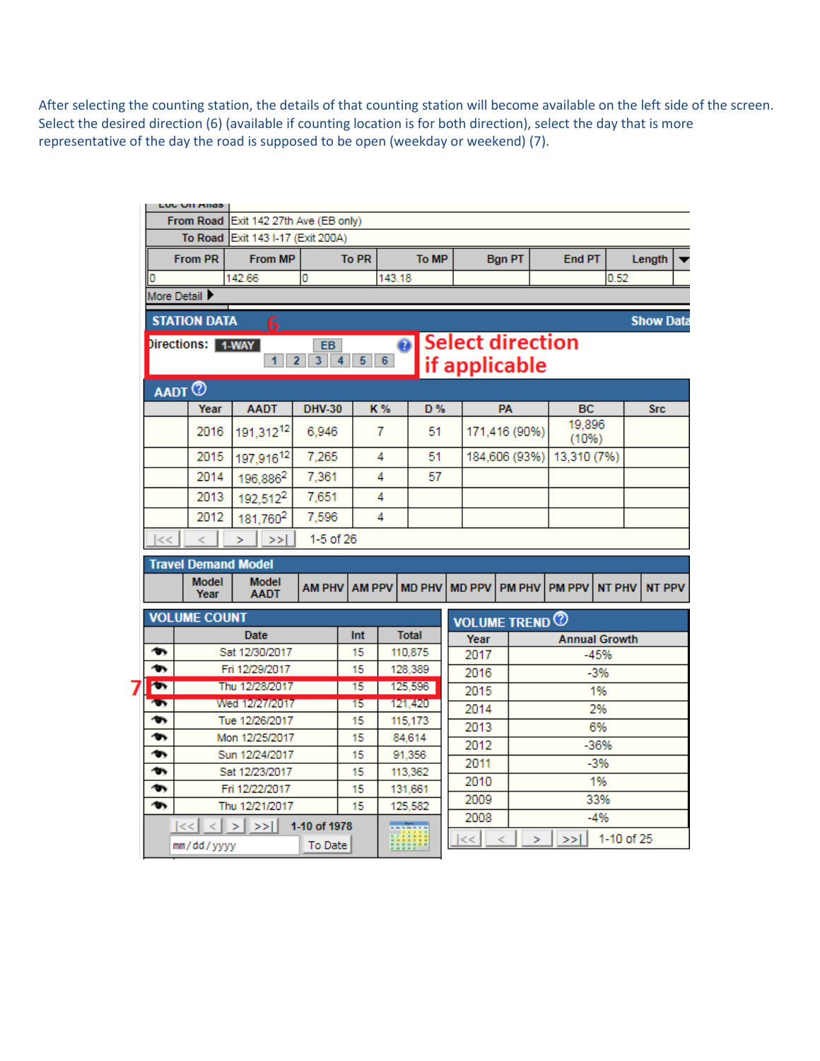After selecting the counting station, the details of that counting station will become available on the left side of the screen. Select the desired direction (6) (available if counting location is for both direction), select the day that is more representative of the day the road is supposed to be open (weekday or weekend) (7).

|                                                                                                         | LUU UN MNOS                                 |                                   |                                  |               |               |          |                   |                                          |               |                       |                      |               |                  |  |
|---------------------------------------------------------------------------------------------------------|---------------------------------------------|-----------------------------------|----------------------------------|---------------|---------------|----------|-------------------|------------------------------------------|---------------|-----------------------|----------------------|---------------|------------------|--|
|                                                                                                         | From Road Exit 142 27th Ave (EB only)       |                                   |                                  |               |               |          |                   |                                          |               |                       |                      |               |                  |  |
|                                                                                                         | To Road Exit 143 I-17 (Exit 200A)           |                                   |                                  |               |               |          |                   |                                          |               |                       |                      |               |                  |  |
|                                                                                                         | <b>From PR</b><br><b>From MP</b>            |                                   |                                  |               | <b>To PR</b>  |          | To MP             |                                          | <b>Bgn PT</b> |                       | End PT               |               | Length           |  |
|                                                                                                         | 142.66<br>0<br>0                            |                                   |                                  |               | 143.18        |          |                   |                                          |               |                       |                      | 0.52          |                  |  |
|                                                                                                         | More Detail                                 |                                   |                                  |               |               |          |                   |                                          |               |                       |                      |               |                  |  |
|                                                                                                         | <b>STATION DATA</b>                         |                                   |                                  |               |               |          |                   |                                          |               |                       |                      |               | <b>Show Data</b> |  |
| $\bullet$<br>Directions: 1-WAY<br>EB.<br>$3 \mid 4 \mid$<br>$5 \t6$<br>2 <sup>1</sup><br>1 <sup>1</sup> |                                             |                                   |                                  |               |               |          |                   | <b>Select direction</b><br>if applicable |               |                       |                      |               |                  |  |
|                                                                                                         |                                             |                                   |                                  |               |               |          |                   |                                          |               |                       |                      |               |                  |  |
|                                                                                                         |                                             | <b>AADT</b>                       |                                  |               |               |          |                   |                                          |               |                       |                      |               |                  |  |
|                                                                                                         |                                             | Year<br><b>AADT</b>               |                                  | <b>DHV-30</b> |               | K%<br>D% |                   |                                          | <b>PA</b>     |                       | BC<br>19,896         |               | <b>Src</b>       |  |
|                                                                                                         |                                             | 191,31212<br>2016                 |                                  | 6.946         | 7             |          | 51                |                                          | 171,416 (90%) |                       | (10%)                |               |                  |  |
|                                                                                                         |                                             | 2015<br>197,91612                 |                                  | 7.265         | 4             |          | 51                |                                          | 184,606 (93%) |                       | 13,310 (7%)          |               |                  |  |
|                                                                                                         |                                             | 2014<br>196,886 <sup>2</sup>      |                                  | 7,361         | 4             |          | 57                |                                          |               |                       |                      |               |                  |  |
|                                                                                                         |                                             | 2013<br>192,512 <sup>2</sup>      |                                  | 7,651         | 4             |          |                   |                                          |               |                       |                      |               |                  |  |
|                                                                                                         |                                             | 2012                              | 181.760 <sup>2</sup>             | 7,596         |               | 4        |                   |                                          |               |                       |                      |               |                  |  |
|                                                                                                         | <<                                          | ⋖                                 | ≻≻l<br>×                         |               | 1-5 of 26     |          |                   |                                          |               |                       |                      |               |                  |  |
|                                                                                                         |                                             | <b>Travel Demand Model</b>        |                                  |               |               |          |                   |                                          |               |                       |                      |               |                  |  |
|                                                                                                         |                                             | <b>Model</b><br>Year              | Model<br><b>AADT</b>             | <b>AM PHV</b> | <b>AM PPV</b> |          | <b>MD PHV</b>     |                                          | <b>MD PPV</b> | <b>PM PHV</b>         | <b>PM PPV</b>        | <b>NT PHV</b> | <b>NT PPV</b>    |  |
|                                                                                                         | <b>VOLUME COUNT</b>                         |                                   |                                  |               |               |          |                   |                                          |               | <b>VOLUME TREND @</b> |                      |               |                  |  |
|                                                                                                         |                                             |                                   | Date                             |               | Int           |          | <b>Total</b>      | Year                                     |               |                       | <b>Annual Growth</b> |               |                  |  |
|                                                                                                         | <b>m</b>                                    |                                   | Sat 12/30/2017                   |               | 15<br>110.875 |          |                   |                                          | 2017          |                       |                      | $-45%$        |                  |  |
|                                                                                                         | $\bullet$                                   | Fri 12/29/2017                    |                                  |               | 15            |          | 128,389           |                                          | 2016          |                       | -3%                  |               |                  |  |
|                                                                                                         | $\bullet$                                   | Thu 12/28/2017<br>$\overline{15}$ |                                  | 125,596       |               |          | 2015              |                                          | 1%            |                       |                      |               |                  |  |
|                                                                                                         | $\mathbf{w}$<br>ቊ                           |                                   | Wed 12127/2017<br>Tue 12/26/2017 |               | 15<br>15      |          | 121,420           |                                          | 2014          |                       | 2%                   |               |                  |  |
|                                                                                                         | ቊ                                           |                                   | Mon 12/25/2017                   |               | 15            |          | 115,173<br>84.614 |                                          | 2013          |                       | 6%                   |               |                  |  |
|                                                                                                         | ቊ                                           |                                   | Sun 12/24/2017                   |               | 15            |          | 91,356            |                                          | 2012          |                       | $-36%$               |               |                  |  |
|                                                                                                         | ቊ                                           |                                   | Sat 12/23/2017                   |               | 15            |          | 113,362           |                                          | 2011          |                       |                      | $-3%$         |                  |  |
|                                                                                                         | ቊ                                           | Fri 12/22/2017                    |                                  | 15            | 131.661       |          |                   | 2010                                     |               |                       | 1%                   |               |                  |  |
|                                                                                                         | $\bullet$                                   | Thu 12/21/2017<br>15              |                                  |               |               |          | 125.582           | 2009<br>33%                              |               |                       |                      |               |                  |  |
|                                                                                                         | 1-10 of 1978<br> << <br>$\lt$<br>  ><br>>>1 |                                   |                                  |               | mini          |          | 2008              |                                          | -4%           |                       |                      |               |                  |  |
|                                                                                                         |                                             | mm/dd/yyyy                        |                                  | To Date       |               |          |                   |                                          | <<            | ъ                     | >>1                  | 1-10 of 25    |                  |  |